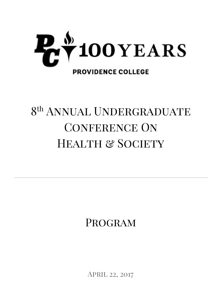

# 8<sup>th</sup> ANNUAL UNDERGRADUATE CONFERENCE ON HEALTH & SOCIETY

Program

April 22, 2017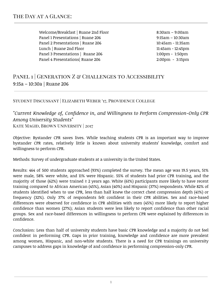# THE DAY AT A GLANCE:

Welcome/Breakfast | Ruane 2nd Floor 61 | 8:30am – 9:00am Panel 1 Presentations | Ruane 206 1990 10:30 am - 10:30 am - 10:30 am - 10:30 am - 10:30 am - 10:30 am - 10:30 am - 10:30 am - 10:30 am - 10:30 am - 10:30 am - 10:30 am - 10:30 am - 10:30 am - 10:30 am - 10:30 am - 10:30 a Panel 2 Presentations | Ruane 206 10:45am - 11:35am Lunch | Ruane 2nd Floor 11:45am - 12:45pm Panel 3 Presentations | Ruane 206 1:00pm - 1:50pm Panel 4 Presentations| Ruane 206 2:00pm - 3:15pm

# PANEL 1 | GENERATION Z & CHALLENGES TO ACCESSIBILITY 9:15a – 10:30a | Ruane 206

Student Discussant | Elizabeth Weber '17, Providence College

## *"Current Knowledge of, Confidence in, and Willingness to Perform Compression-Only CPR Among University Students"* Kate Magid, Brown University | 2017

Objective: Bystander CPR saves lives. While teaching students CPR is an important way to improve bystander CPR rates, relatively little is known about university students' knowledge, comfort and willingness to perform CPR.

Methods: Survey of undergraduate students at a university in the United States.

Results: 464 of 500 students approached (93%) completed the survey. The mean age was 19.5 years, 51% were male, 58% were white, and 11% were Hispanic. 55% of students had prior CPR training, and the majority of those (62%) were trained  $\geq 2$  years ago. White (61%) participants more likely to have recent training compared to African American (45%), Asian (40%) and Hispanic (37%) respondents. While 82% of students identified when to use CPR, less than half knew the correct chest compression depth (41%) or frequency (32%). Only 37% of respondents felt confident in their CPR abilities. Sex and race-based differences were observed for confidence in CPR abilities with men (45%) more likely to report higher confidence than women (27%); Asian students were less likely to report confidence than other racial groups. Sex and race-based differences in willingness to perform CPR were explained by differences in confidence.

Conclusion: Less than half of university students have basic CPR knowledge and a majority do not feel confident in performing CPR. Gaps in prior training, knowledge and confidence are more prevalent among women, Hispanic, and non-white students. There is a need for CPR trainings on university campuses to address gaps in knowledge of and confidence in performing compression-only CPR.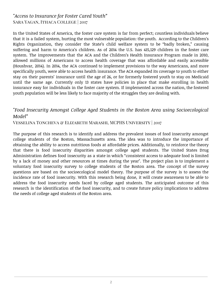## *"Access to Insurance for Foster Cared Youth"* Sara Yagan, Ithaca College | 2017

In the United States of America, the foster care system is far from perfect; countless individuals believe that it is a failed system, hurting the most vulnerable population: the youth. According to the Children's Rights Organization, they consider the State's child welfare system to be "badly broken," causing suffering and harm to America's children. As of 2014 the U.S. has 415,129 children in the foster care system. The improvements that the ACA and the Children's Health Insurance Program made in 2010, allowed millions of Americans to access health coverage that was affordable and easily accessible (Houshvar, 2014). In 2014, the ACA continued to implement provisions to the way Americans, and more specifically youth, were able to access health insurance. The ACA expanded its coverage to youth to either stay on their parents' insurance until the age of 26, or for formerly fostered youth to stay on Medicaid until the same age. Currently only 13 states have policies in place that make enrolling in health insurance easy for individuals in the foster care system. If implemented across the nation, the fostered youth population will be less likely to face majority of the struggles they are dealing with.

#### *"Food Insecurity Amongst College Aged Students in the Boston Area using Socioecological Model"*

Vesselina Toncheva & Elizabeth Marashi, MCPHS University | 2017

The purpose of this research is to identify and address the prevalent issues of food insecurity amongst college students of the Boston, Massachusetts area. The idea was to introduce the importance of obtaining the ability to access nutritious foods at affordable prices. Additionally, to reinforce the theory that there is food insecurity disparities amongst college aged students. The United States Drug Administration defines food insecurity as a state in which "consistent access to adequate food is limited by a lack of money and other resources at times during the year". The project plan is to implement a voluntary food insecurity survey to college students of the Boston area. The concept of the survey questions are based on the socioecological model theory. The purpose of the survey is to assess the incidence rate of food insecurity. With this research being done, it will create awareness to be able to address the food insecurity needs faced by college aged students. The anticipated outcome of this research is the identification of the food insecurity, and to create future policy implications to address the needs of college aged students of the Boston area.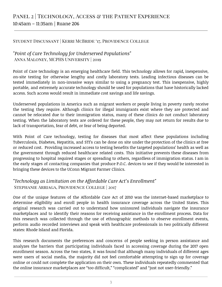# PANEL 2 | TECHNOLOGY, ACCESS & THE PATIENT EXPERIENCE 10:45am – 11:35am | Ruane 206

#### Student Discussant | Kerri McBride '17, Providence College

#### *"Point of Care Technology for Underserved Populations"* Anna Maloney, MCPHS University | 2019

Point of Care technology is an emerging healthcare field. This technology allows for rapid, inexpensive, on-site testing for otherwise lengthy and costly laboratory tests. Leading infectious diseases can be tested immediately in non-invasive ways similar to using a pregnancy test. This inexpensive, highly portable, and extremely accurate technology should be used for populations that have historically lacked access. Such access would result in immediate cost savings and life savings.

Underserved populations in America such as migrant workers or people living in poverty rarely receive the testing they require. Although clinics for illegal immigrants exist where they are protected and cannot be relocated due to their immigration status, many of these clinics do not conduct laboratory testing. When the laboratory tests are ordered for these people, they may not return for results due to lack of transportation, fear of debt, or fear of being deported.

With Point of Care technology, testing for diseases that most affect these populations including Tuberculosis, Diabetes, Hepatitis, and STI's can be done on site under the protection of the clinics at free or reduced cost. Providing increased access to testing benefits the targeted populations' health as well as the government through reduced healthcare related costs. This initiative prevents these diseases from progressing to hospital required stages or spreading to others, regardless of immigration status. I am in the early stages of contacting companies that produce P.O.C. devices to see if they would be interested in bringing these devices to the UConn Migrant Farmer Clinics.

## *"Technology as Limitation on the Affordable Care Act's Enrollment"* Stephanie Arriaga, Providence College | 2017

One of the unique features of the Affordable Care Act of 2010 was the internet-based marketplace to determine eligibility and enroll people in health insurance coverage across the United States. This original research was carried out to understand how uninsured individuals navigate the insurance marketplaces and to identify their reasons for receiving assistance in the enrollment process. Data for this research was collected through the use of ethnographic methods to observe enrollment events, perform audio recorded interviews and speak with healthcare professionals in two politically different states: Rhode Island and Florida.

This research documents the preferences and concerns of people seeking in person assistance and analyzes the barriers that participating individuals faced in accessing coverage during the 2017 open enrollment season. Across the two states, it was found that although many individuals of different ages were users of social media, the majority did not feel comfortable attempting to sign up for coverage online or could not complete the application on their own. These individuals repeatedly commented that the online insurance marketplaces are "too difficult," "complicated" and "just not user-friendly."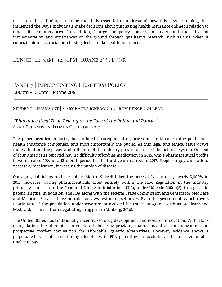Based on these findings, I argue that it is essential to understand how this new technology has influenced the ways individuals make decisions about purchasing health insurance online in relation to other life circumstances. In addition, I urge for policy makers to understand the effect of implementation and experiences on the ground through qualitative research, such as this, when it comes to aiding a crucial purchasing decision like health insurance.

## LUNCH | 11:45AM -12:40PM | RUANE 2<sup>nd</sup> FLOOR

# PANEL 3 | IMPLEMENTING HEALTH(Y) POLICY 1:00pm - 1:50pm | Ruane 206

#### Student Discussant | Mary Kate Vigneron '17, Providence College

## *"Pharmaceutical Drug Pricing in the Face of the Public and Politics"* Anna Erlandson, Ithaca College | 2017

The pharmaceutical industry has inflated prescription drug prices at a rate concerning politicians, health insurance companies, and most importantly the public. As this legal and ethical issue draws more attention, the power and influence of the industry proves to succeed the political system. One out of four Americans reported having difficulty affording medication in 2015, while pharmaceutical profits have increased 10% in a 12-month period for the third year in a row in 2017. People simply can't afford necessary medication, increasing the burden of disease.

Outraging politicians and the public, Martin Shkreli hiked the price of Daraprim by nearly 5,000% in 2015, however, Turing pharmaceuticals acted entirely within the law. Regulation in the industry primarily comes from the Food and Drug Administration (FDA), under US code 505(b)(2), in regards to patent lengths. In addition, the FDA along with the Federal Trade Commission and Centers for Medicare and Medicaid Services have no rules or laws restricting set prices. Even the government, which covers nearly 60% of the population under government-assisted insurance programs such as Medicare and Medicaid, is barred from negotiating drug prices (Almberg, 2016).

The United States has traditionally incentivized drug development and research innovation. With a lack of regulation, the attempt is to create a balance by providing market incentives for innovation, and prospective market competition for affordable, generic alternatives. However, evidence shows a perpetuated cycle of greed through loopholes in FDA patenting protocols leave the most vulnerable unable to pay.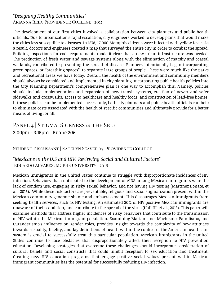## *"Designing Healthy Communities"* Arianna Reid, Providence College | 2017

The development of our first cities involved a collaboration between city planners and public health officials. Due to urbanization's rapid escalation, city engineers worked to develop plans that would make the cities less susceptible to diseases. In 1878, 17,000 Memphis citizens were infected with yellow fever. As a result, doctors and engineers created a map that surveyed the entire city in order to combat the spread. Building inspections for code requirements made it clear that a new urban infrastructure was needed. The production of fresh water and sewage systems along with the elimination of marshy and coastal wetlands, contributed to preventing the spread of disease. Planners intentionally began incorporating green spaces, or "breathing spaces", to separate large groups of people. These were much like the parks and recreational areas we have today. Overall, the health of the environment and community members should always be considered and implemented in city planning. Incorporating public health policies into the City Planning Department's comprehensive plan is one way to accomplish this. Namely, policies should include implementation and expansion of new transit systems, creation of newer and safer sidewalks and crosswalks, access to healthcare and healthy foods, and construction of lead-free homes. If these policies can be implemented successfully, both city planners and public health officials can help to eliminate costs associated with the health of specific communities and ultimately provide for a better means of living for all.

# PANEL 4 | STIGMA, SICKNESS & THE SELF 2:00pm - 3:15pm | Ruane 206

#### Student Discussant | Katelyn Seaver '17, Providence College

#### *"Mexicans in the U.S and HIV: Reviewing Social and Cultural Factors"* Eduardo Alvarez, MCPHS University | 2018

Mexican immigrants in the United States continue to struggle with disproportionate incidences of HIV infection. Behaviors that contributed to the development of AIDS among Mexican immigrants were the lack of condom use, engaging in risky sexual behavior, and not having HIV testing (Martínez Donate, et al., 2015). While these risk factors are preventable, religious and social stigmatization present within the Mexican community generate shame and embarrassment. This discourages Mexican immigrants from seeking health services, such as HIV testing. An estimated 20% of HIV positive Mexican immigrants are unaware of their condition, and contribute to the spread of the virus (Hall HI, et al., 2013). This paper will examine methods that address higher incidences of risky behaviors that contribute to the transmission of HIV within the Mexican immigrant population. Examining Marianismo, Machismo, Familismo, and Curanderismo's influence on gender roles, provides insight towards the complexity of how attitudes towards sexuality, fidelity, and lay definitions of health within the context of the American health care system is crucial to successfully treat this particular population. Mexican immigrants in the United States continue to face obstacles that disproportionately affect their reception to HIV prevention education. Developing strategies that overcome these challenges should incorporate consideration of cultural beliefs and social constructs that could inhibit reception to sex education and treatment. Creating new HIV education programs that engage positive social values present within Mexican immigrant communities has the potential for successfully reducing HIV infection.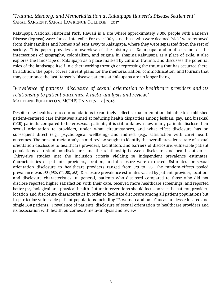## *"Trauma, Memory, and Memorialization at Kalaupapa Hansen's Disease Settlement"* Sarah Sargent, Sarah Lawrence College | 2017

Kalaupapa National Historical Park, Hawaii is a site where approximately 8,000 people with Hansen's Disease (leprosy) were forced into exile. For over 100 years, those who were deemed "sick" were removed from their families and homes and sent away to Kalaupapa, where they were separated from the rest of society. This paper provides an overview of the history of Kalaupapa and a discussion of the intersections of geography, colonialism, and stigma in shaping Kalaupapa as a place of exile. It also explores the landscape of Kalaupapa as a place marked by cultural trauma, and discusses the potential roles of the landscape itself in either working through or repressing the trauma that has occurred there. In addition, the paper covers current plans for the memorialization, commodification, and tourism that may occur once the last Hansen's Disease patients at Kalaupapa are no longer living.

## *"Prevalence of patients' disclosure of sexual orientation to healthcare providers and its relationship to patient outcomes: A meta-analysis and review."* Madeline Fullerton, MCPHS University | 2018

Despite new healthcare recommendations to routinely collect sexual orientation data due to established patient-centered care initiatives aimed at reducing health disparities among lesbian, gay, and bisexual (LGB) patients compared to heterosexual patients, it is still unknown how many patients disclose their sexual orientation to providers, under what circumstances, and what effect disclosure has on subsequent direct (e.g., psychological wellbeing) and indirect (e.g., satisfaction with care) health outcomes. The present meta-analysis and review sought to identify the overall prevalence rate of sexual orientation disclosure to healthcare providers, facilitators and barriers of disclosure, vulnerable patient populations at risk of nondisclosure, and the relationship between disclosure and health outcomes. Thirty-five studies met the inclusion criteria yielding 38 independent prevalence estimates. Characteristics of patients, providers, location, and disclosure were extracted. Estimates for sexual orientation disclosure to healthcare providers ranged from .29 to .98. The random-effects pooled prevalence was .63 (95% CI: .58, .68). Disclosure prevalence estimates varied by patient, provider, location, and disclosure characteristics. In general, patients who disclosed compared to those who did not disclose reported higher satisfaction with their care, received more healthcare screenings, and reported better psychological and physical health. Future interventions should focus on specific patient, provider, location and disclosure characteristics in order to facilitate disclosure among all patient populations but in particular vulnerable patient populations including LB women and non-Caucasian, less educated and single LGB patients. Prevalence of patients' disclosure of sexual orientation to healthcare providers and its association with health outcomes: A meta-analysis and review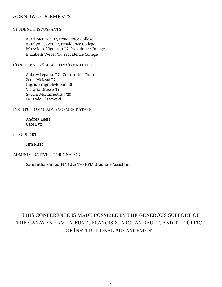#### **ACKNOWLEDGEMENTS**

#### Student Discussants

Kerri McBride '17, Providence College Katelyn Seaver '17, Providence College Mary Kate Vigneron '17, Providence College Elizabeth Weber '17, Providence College

CONFERENCE SELECTION COMMITTEE

Aubrey Legasse '17 | Committee Chair Scott McLeod '17 Ingrid Brugnoli-Ensin '18 Victoria Grasso '19 Sabrin Mohamednur '20 Dr. Todd Olszewski

#### Institutional Advancement Staff

Andrea Keefe Cate Latz

IT SUPPORT

Jim Rizzo

#### Administrative Coordinator

Samantha Santos '14 '16G & '17G HPM Graduate Assistant

# This conference is made possible by the generous support of the Canavan Family Fund, Francis X. Archambault, and the Office of Institutional Advancement.